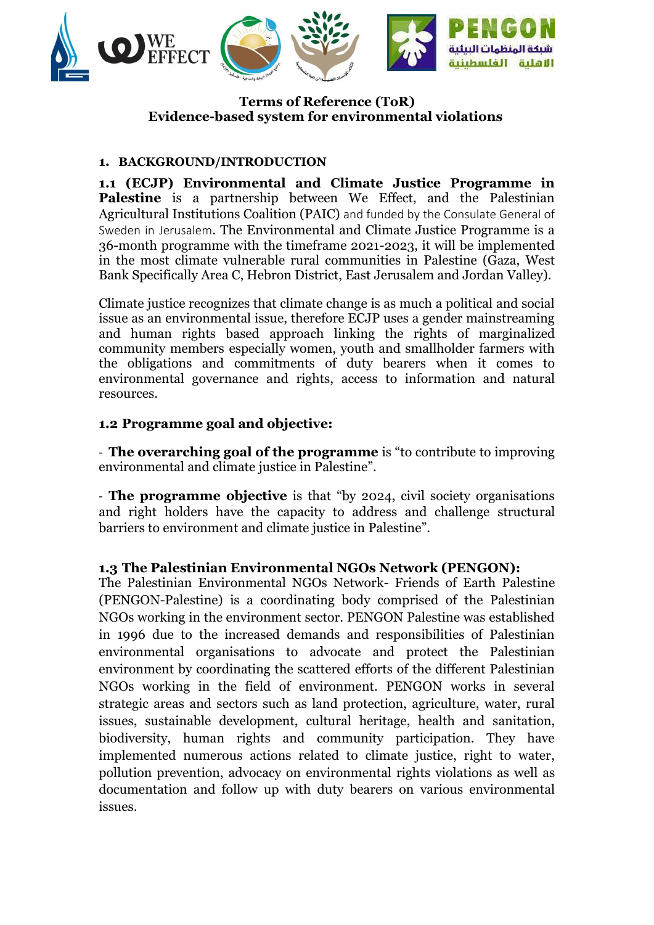

### **Terms of Reference (ToR) Evidence-based system for environmental violations**

### **1. BACKGROUND/INTRODUCTION**

**1.1 (ECJP) Environmental and Climate Justice Programme in Palestine** is a partnership between We Effect, and the Palestinian Agricultural Institutions Coalition (PAIC) and funded by the Consulate General of Sweden in Jerusalem. The Environmental and Climate Justice Programme is a 36-month programme with the timeframe 2021-2023, it will be implemented in the most climate vulnerable rural communities in Palestine (Gaza, West Bank Specifically Area C, Hebron District, East Jerusalem and Jordan Valley).

Climate justice recognizes that climate change is as much a political and social issue as an environmental issue, therefore ECJP uses a gender mainstreaming and human rights based approach linking the rights of marginalized community members especially women, youth and smallholder farmers with the obligations and commitments of duty bearers when it comes to environmental governance and rights, access to information and natural resources.

### **1.2 Programme goal and objective:**

- **The overarching goal of the programme** is "to contribute to improving environmental and climate justice in Palestine".

- **The programme objective** is that "by 2024, civil society organisations and right holders have the capacity to address and challenge structural barriers to environment and climate justice in Palestine".

#### **1.3 The Palestinian Environmental NGOs Network (PENGON):**

The Palestinian Environmental NGOs Network- Friends of Earth Palestine (PENGON-Palestine) is a coordinating body comprised of the Palestinian NGOs working in the environment sector. PENGON Palestine was established in 1996 due to the increased demands and responsibilities of Palestinian environmental organisations to advocate and protect the Palestinian environment by coordinating the scattered efforts of the different Palestinian NGOs working in the field of environment. PENGON works in several strategic areas and sectors such as land protection, agriculture, water, rural issues, sustainable development, cultural heritage, health and sanitation, biodiversity, human rights and community participation. They have implemented numerous actions related to climate justice, right to water, pollution prevention, advocacy on environmental rights violations as well as documentation and follow up with duty bearers on various environmental issues.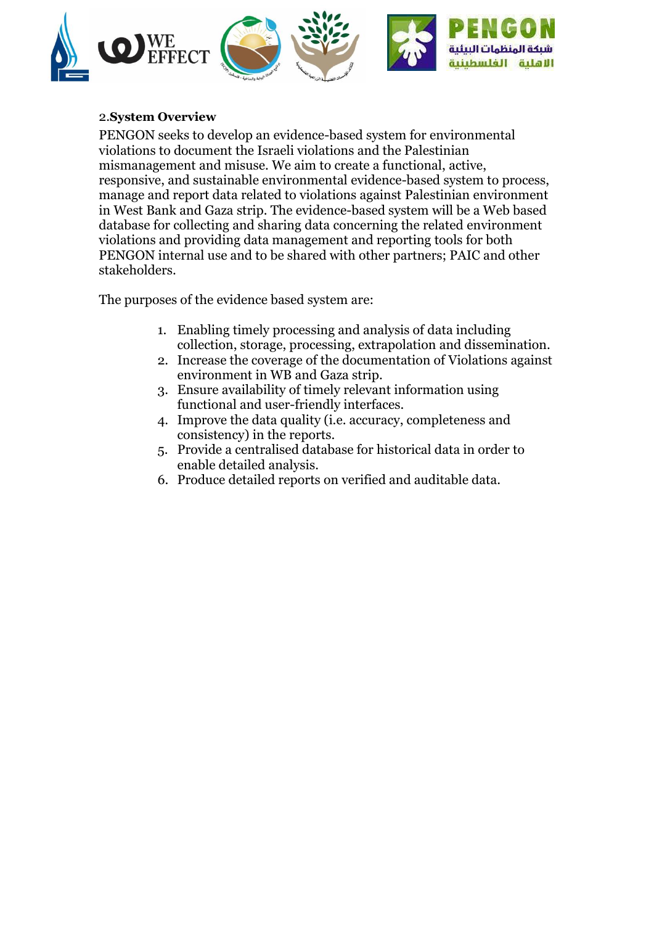

### 2.**System Overview**

PENGON seeks to develop an evidence-based system for environmental violations to document the Israeli violations and the Palestinian mismanagement and misuse. We aim to create a functional, active, responsive, and sustainable environmental evidence-based system to process, manage and report data related to violations against Palestinian environment in West Bank and Gaza strip. The evidence-based system will be a Web based database for collecting and sharing data concerning the related environment violations and providing data management and reporting tools for both PENGON internal use and to be shared with other partners; PAIC and other stakeholders.

The purposes of the evidence based system are:

- 1. Enabling timely processing and analysis of data including collection, storage, processing, extrapolation and dissemination.
- 2. Increase the coverage of the documentation of Violations against environment in WB and Gaza strip.
- 3. Ensure availability of timely relevant information using functional and user-friendly interfaces.
- 4. Improve the data quality (i.e. accuracy, completeness and consistency) in the reports.
- 5. Provide a centralised database for historical data in order to enable detailed analysis.
- 6. Produce detailed reports on verified and auditable data.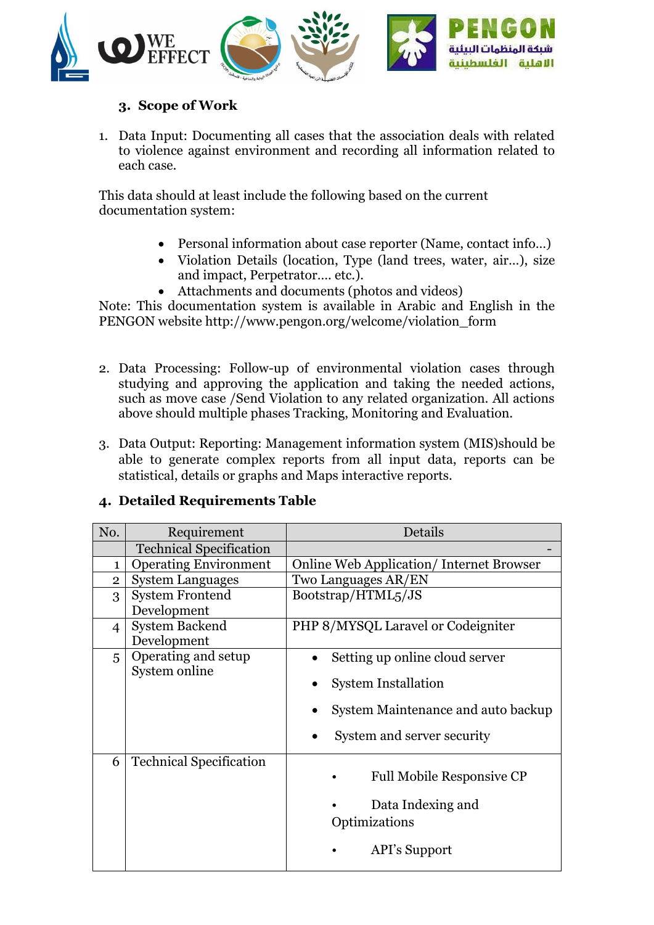

## **3. Scope of Work**

1. Data Input: Documenting all cases that the association deals with related to violence against environment and recording all information related to each case.

This data should at least include the following based on the current documentation system:

- Personal information about case reporter (Name, contact info...)
- Violation Details (location, Type (land trees, water, air...), size and impact, Perpetrator…. etc.).
- Attachments and documents (photos and videos)

Note: This documentation system is available in Arabic and English in the PENGON website [http://www.pengon.org/welcome/violation\\_form](http://www.pengon.org/welcome/violation_form)

- 2. Data Processing: Follow-up of environmental violation cases through studying and approving the application and taking the needed actions, such as move case /Send Violation to any related organization. All actions above should multiple phases Tracking, Monitoring and Evaluation.
- 3. Data Output: Reporting: Management information system (MIS)should be able to generate complex reports from all input data, reports can be statistical, details or graphs and Maps interactive reports.

## **4. Detailed Requirements Table**

| No.            | Requirement                    | Details                                        |  |  |
|----------------|--------------------------------|------------------------------------------------|--|--|
|                | <b>Technical Specification</b> |                                                |  |  |
| $\mathbf{1}$   | <b>Operating Environment</b>   | <b>Online Web Application/Internet Browser</b> |  |  |
| $\overline{2}$ | <b>System Languages</b>        | Two Languages AR/EN                            |  |  |
| 3              | <b>System Frontend</b>         | Bootstrap/HTML5/JS                             |  |  |
|                | Development                    |                                                |  |  |
| $\overline{4}$ | <b>System Backend</b>          | PHP 8/MYSQL Laravel or Codeigniter             |  |  |
|                | Development                    |                                                |  |  |
| 5              | Operating and setup            | Setting up online cloud server                 |  |  |
|                | System online                  |                                                |  |  |
|                |                                | <b>System Installation</b>                     |  |  |
|                |                                | System Maintenance and auto backup             |  |  |
|                |                                | System and server security                     |  |  |
| 6              | <b>Technical Specification</b> |                                                |  |  |
|                |                                | <b>Full Mobile Responsive CP</b>               |  |  |
|                |                                | Data Indexing and                              |  |  |
|                |                                | Optimizations                                  |  |  |
|                |                                |                                                |  |  |
|                |                                | API's Support                                  |  |  |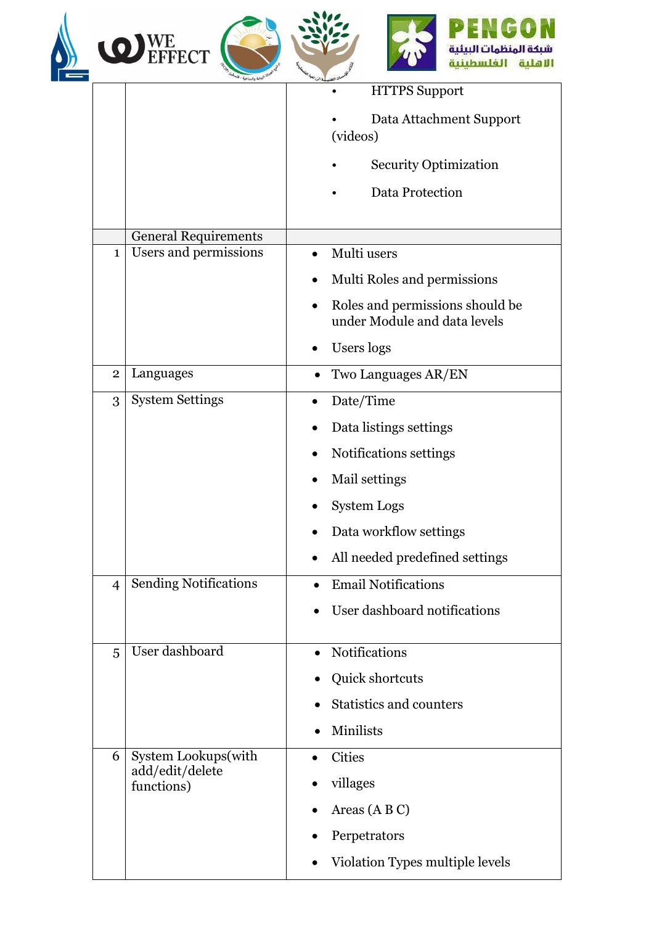|                             | <b>O</b> WE EFFECT                                   | سندة المنظمات الب                                               |
|-----------------------------|------------------------------------------------------|-----------------------------------------------------------------|
|                             |                                                      | <b>HTTPS Support</b>                                            |
|                             |                                                      | Data Attachment Support<br>(videos)                             |
|                             |                                                      | <b>Security Optimization</b>                                    |
|                             |                                                      | Data Protection                                                 |
| <b>General Requirements</b> |                                                      |                                                                 |
| $\mathbf{1}$                | Users and permissions                                | Multi users<br>$\bullet$                                        |
|                             |                                                      | Multi Roles and permissions                                     |
|                             |                                                      | Roles and permissions should be<br>under Module and data levels |
|                             |                                                      | Users logs                                                      |
| $\overline{2}$              | Languages                                            | Two Languages AR/EN                                             |
| 3                           | <b>System Settings</b>                               | Date/Time                                                       |
|                             |                                                      | Data listings settings                                          |
|                             |                                                      | Notifications settings                                          |
|                             |                                                      | Mail settings                                                   |
|                             |                                                      | <b>System Logs</b>                                              |
|                             |                                                      | Data workflow settings                                          |
|                             |                                                      | All needed predefined settings                                  |
| $\overline{4}$              | <b>Sending Notifications</b>                         | <b>Email Notifications</b><br>$\bullet$                         |
|                             |                                                      | User dashboard notifications                                    |
| 5                           | User dashboard                                       | Notifications                                                   |
|                             |                                                      | Quick shortcuts                                                 |
|                             |                                                      | <b>Statistics and counters</b>                                  |
|                             |                                                      | Minilists                                                       |
| 6                           | System Lookups(with<br>add/edit/delete<br>functions) | <b>Cities</b>                                                   |
|                             |                                                      | villages                                                        |
|                             |                                                      | Areas $(A B C)$                                                 |
|                             |                                                      | Perpetrators                                                    |
|                             |                                                      | Violation Types multiple levels                                 |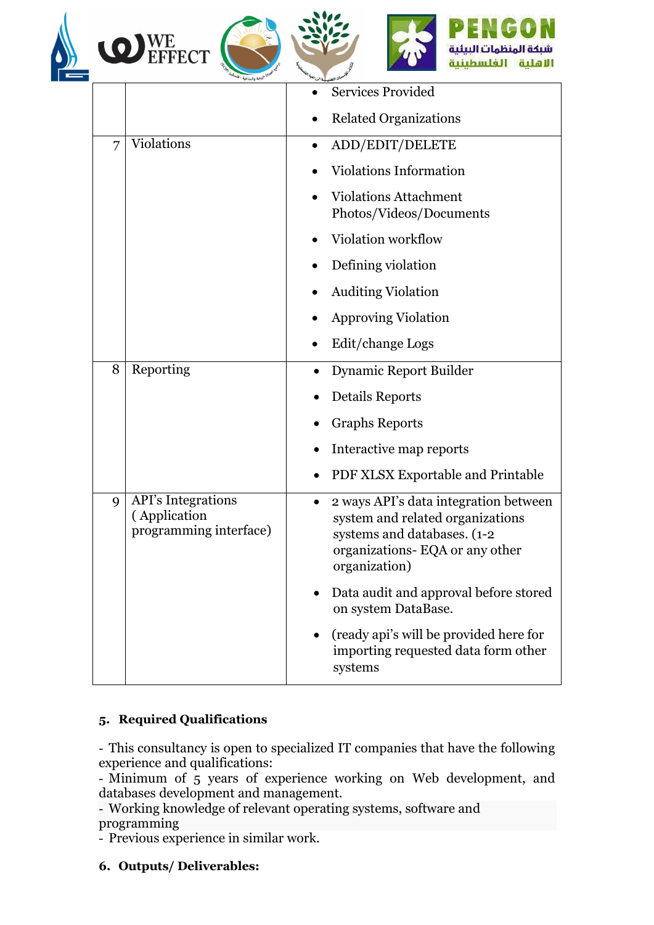





|   |                                                                     | <b>Services Provided</b>                                                                                                                                     |  |  |
|---|---------------------------------------------------------------------|--------------------------------------------------------------------------------------------------------------------------------------------------------------|--|--|
|   |                                                                     | <b>Related Organizations</b>                                                                                                                                 |  |  |
| 7 | Violations                                                          | ADD/EDIT/DELETE<br>$\bullet$                                                                                                                                 |  |  |
|   |                                                                     | <b>Violations Information</b>                                                                                                                                |  |  |
|   |                                                                     | <b>Violations Attachment</b><br>Photos/Videos/Documents                                                                                                      |  |  |
|   |                                                                     | Violation workflow                                                                                                                                           |  |  |
|   |                                                                     | Defining violation                                                                                                                                           |  |  |
|   |                                                                     | <b>Auditing Violation</b>                                                                                                                                    |  |  |
|   |                                                                     | <b>Approving Violation</b>                                                                                                                                   |  |  |
|   |                                                                     | Edit/change Logs                                                                                                                                             |  |  |
| 8 | Reporting                                                           | Dynamic Report Builder                                                                                                                                       |  |  |
|   |                                                                     | Details Reports                                                                                                                                              |  |  |
|   |                                                                     | <b>Graphs Reports</b>                                                                                                                                        |  |  |
|   |                                                                     | Interactive map reports                                                                                                                                      |  |  |
|   |                                                                     | PDF XLSX Exportable and Printable                                                                                                                            |  |  |
| 9 | <b>API's Integrations</b><br>(Application<br>programming interface) | 2 ways API's data integration between<br>system and related organizations<br>systems and databases. (1-2)<br>organizations-EQA or any other<br>organization) |  |  |
|   |                                                                     | Data audit and approval before stored<br>on system DataBase.                                                                                                 |  |  |
|   |                                                                     | (ready api's will be provided here for<br>importing requested data form other<br>systems                                                                     |  |  |

## **5. Required Qualifications**

- This consultancy is open to specialized IT companies that have the following experience and qualifications:

- Minimum of 5 years of experience working on Web development, and databases development and management.

- Working knowledge of relevant operating systems, software and programming

- Previous experience in similar work.

**6. Outputs/ Deliverables:**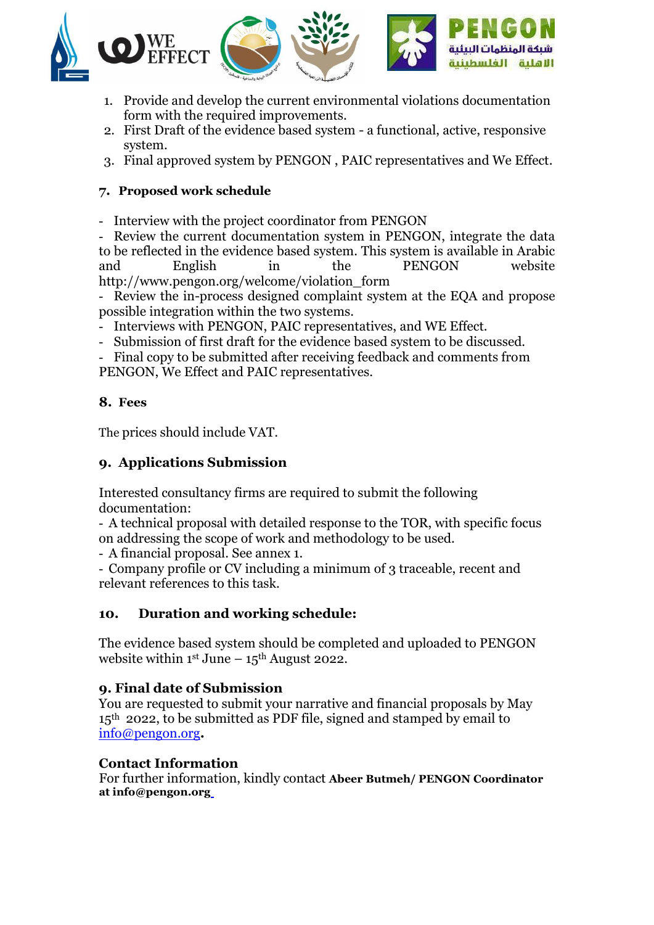

- 1. Provide and develop the current environmental violations documentation form with the required improvements.
- 2. First Draft of the evidence based system a functional, active, responsive system.
- 3. Final approved system by PENGON , PAIC representatives and We Effect.

## **7. Proposed work schedule**

- Interview with the project coordinator from PENGON

- Review the current documentation system in PENGON, integrate the data to be reflected in the evidence based system. This system is available in Arabic and English in the PENGON website [http://www.pengon.org/welcome/violation\\_form](http://www.pengon.org/welcome/violation_form)

- Review the in-process designed complaint system at the EQA and propose possible integration within the two systems.

- Interviews with PENGON, PAIC representatives, and WE Effect.
- Submission of first draft for the evidence based system to be discussed.

- Final copy to be submitted after receiving feedback and comments from PENGON, We Effect and PAIC representatives.

## **8. Fees**

The prices should include VAT.

# **9. Applications Submission**

Interested consultancy firms are required to submit the following documentation:

- A technical proposal with detailed response to the TOR, with specific focus on addressing the scope of work and methodology to be used.

- A financial proposal. See annex 1.

- Company profile or CV including a minimum of 3 traceable, recent and relevant references to this task.

# **10. Duration and working schedule:**

The evidence based system should be completed and uploaded to PENGON website within  $1<sup>st</sup>$  June –  $15<sup>th</sup>$  August 2022.

# **9. Final date of Submission**

You are requested to submit your narrative and financial proposals by May 15<sup>th</sup> 2022, to be submitted as PDF file, signed and stamped by email to [info@pengon.org](mailto:info@pengon.org)**.** 

# **Contact Information**

For further information, kindly contact **Abeer Butmeh/ PENGON Coordinator at info@pengon.org**